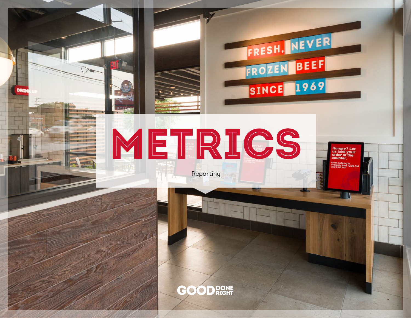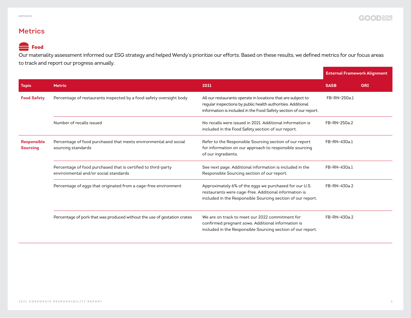### **Metrics**

## **Food**

Our materiality assessment informed our ESG strategy and helped Wendy's prioritize our efforts. Based on these results, we defined metrics for our focus areas to track and report our progress annually.

|                                       |                                                                                                        |                                                                                                                                                                                                   | <b>External Framework Alignment</b> |            |
|---------------------------------------|--------------------------------------------------------------------------------------------------------|---------------------------------------------------------------------------------------------------------------------------------------------------------------------------------------------------|-------------------------------------|------------|
| <b>Topic</b>                          | <b>Metric</b>                                                                                          | 2021                                                                                                                                                                                              | <b>SASB</b>                         | <b>GRI</b> |
| <b>Food Safety</b>                    | Percentage of restaurants inspected by a food safety oversight body                                    | All our restaurants operate in locations that are subject to<br>regular inspections by public health authorities. Additional<br>information is included in the Food Safety section of our report. | FB-RN-250a.1                        |            |
|                                       | Number of recalls issued                                                                               | No recalls were issued in 2021. Additional information is<br>included in the Food Safety section of our report.                                                                                   | FB-RN-250a.2                        |            |
| <b>Responsible</b><br><b>Sourcing</b> | Percentage of food purchased that meets environmental and social<br>sourcing standards                 | Refer to the Responsible Sourcing section of our report<br>for information on our approach to responsible sourcing<br>of our ingredients.                                                         | FB-RN-430a.1                        |            |
|                                       | Percentage of food purchased that is certified to third-party<br>environmental and/or social standards | See next page. Additional information is included in the<br>Responsible Sourcing section of our report.                                                                                           | FB-RN-430a.1                        |            |
|                                       | Percentage of eggs that originated from a cage-free environment                                        | Approximately 6% of the eggs we purchased for our U.S.<br>restaurants were cage-free. Additional information is<br>included in the Responsible Sourcing section of our report.                    | FB-RN-430a.2                        |            |
|                                       | Percentage of pork that was produced without the use of gestation crates                               | We are on track to meet our 2022 commitment for<br>confirmed pregnant sows. Additional information is<br>included in the Responsible Sourcing section of our report.                              | FB-RN-430a.2                        |            |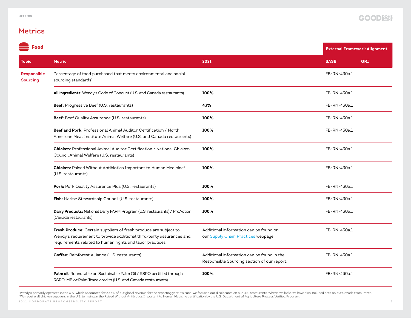### **Metrics**

| Food                           |                                                                                                                                                                                                      |                                                                                           |              | <b>External Framework Alignment</b> |
|--------------------------------|------------------------------------------------------------------------------------------------------------------------------------------------------------------------------------------------------|-------------------------------------------------------------------------------------------|--------------|-------------------------------------|
| <b>Topic</b>                   | <b>Metric</b>                                                                                                                                                                                        | 2021                                                                                      | <b>SASB</b>  | <b>GRI</b>                          |
| Responsible<br><b>Sourcing</b> | Percentage of food purchased that meets environmental and social<br>sourcing standards <sup>1</sup>                                                                                                  |                                                                                           | FB-RN-430a.1 |                                     |
|                                | All ingredients: Wendy's Code of Conduct (U.S. and Canada restaurants)                                                                                                                               | 100%                                                                                      | FB-RN-430a.1 |                                     |
|                                | Beef: Progressive Beef (U.S. restaurants)                                                                                                                                                            | 43%                                                                                       | FB-RN-430a.1 |                                     |
|                                | Beef: Beef Quality Assurance (U.S. restaurants)                                                                                                                                                      | 100%                                                                                      | FB-RN-430a.1 |                                     |
|                                | <b>Beef and Pork:</b> Professional Animal Auditor Certification / North<br>American Meat Institute Animal Welfare (U.S. and Canada restaurants)                                                      | 100%                                                                                      | FB-RN-430a.1 |                                     |
|                                | Chicken: Professional Animal Auditor Certification / National Chicken<br>Council Animal Welfare (U.S. restaurants)                                                                                   | 100%                                                                                      | FB-RN-430a.1 |                                     |
|                                | Chicken: Raised Without Antibiotics Important to Human Medicine <sup>2</sup><br>(U.S. restaurants)                                                                                                   | 100%                                                                                      | FB-RN-430a.1 |                                     |
|                                | Pork: Pork Quality Assurance Plus (U.S. restaurants)                                                                                                                                                 | 100%                                                                                      | FB-RN-430a.1 |                                     |
|                                | Fish: Marine Stewardship Council (U.S. restaurants)                                                                                                                                                  | 100%                                                                                      | FB-RN-430a.1 |                                     |
|                                | Dairy Products: National Dairy FARM Program (U.S. restaurants) / ProAction<br>(Canada restaurants)                                                                                                   | 100%                                                                                      | FB-RN-430a.1 |                                     |
|                                | Fresh Produce: Certain suppliers of fresh produce are subject to<br>Wendy's requirement to provide additional third-party assurances and<br>requirements related to human rights and labor practices | Additional information can be found on<br>our Supply Chain Practices webpage.             | FB-RN-430a.1 |                                     |
|                                | Coffee: Rainforest Alliance (U.S. restaurants)                                                                                                                                                       | Additional information can be found in the<br>Responsible Sourcing section of our report. | FB-RN-430a.1 |                                     |
|                                | Palm oil: Roundtable on Sustainable Palm Oil / RSPO certified through<br>RSPO-MB or Palm Trace credits (U.S. and Canada restaurants)                                                                 | 100%                                                                                      | FB-RN-430a.1 |                                     |

**2021 CORPORATE RESPONSIBILITY REPORT 3** Wendy's primarily operates in the U.S., which accounted for 82.6% of our global revenue for the reporting year. As such, we focused our disclosures on our U.S. restaurants. Where available, we have also included data on ou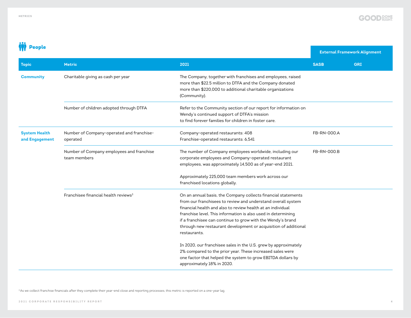

**External Framework Alignment**

# **III** People

| <b>Topic</b>                           | <b>Metric</b>                                             | 2021                                                                                                                                                                                                                                                                                                                                                                                                            | <b>SASB</b> | <b>GRI</b> |
|----------------------------------------|-----------------------------------------------------------|-----------------------------------------------------------------------------------------------------------------------------------------------------------------------------------------------------------------------------------------------------------------------------------------------------------------------------------------------------------------------------------------------------------------|-------------|------------|
| <b>Community</b>                       | Charitable giving as cash per year                        | The Company, together with franchises and employees, raised<br>more than \$22.5 million to DTFA and the Company donated<br>more than \$220,000 to additional charitable organizations<br>(Community).                                                                                                                                                                                                           |             |            |
|                                        | Number of children adopted through DTFA                   | Refer to the Community section of our report for information on<br>Wendy's continued support of DTFA's mission<br>to find forever families for children in foster care.                                                                                                                                                                                                                                         |             |            |
| <b>System Health</b><br>and Engagement | Number of Company-operated and franchise-<br>operated     | Company-operated restaurants: 408<br>Franchise-operated restaurants: 6,541                                                                                                                                                                                                                                                                                                                                      | FB-RN-000.A |            |
|                                        | Number of Company employees and franchise<br>team members | The number of Company employees worldwide, including our<br>corporate employees and Company-operated restaurant<br>employees, was approximately 14,500 as of year-end 2021.                                                                                                                                                                                                                                     | FB-RN-000.B |            |
|                                        |                                                           | Approximately 225,000 team members work across our<br>franchised locations globally.                                                                                                                                                                                                                                                                                                                            |             |            |
|                                        | Franchisee financial health reviews <sup>3</sup>          | On an annual basis, the Company collects financial statements<br>from our franchisees to review and understand overall system<br>financial health and also to review health at an individual<br>franchise level. This information is also used in determining<br>if a franchisee can continue to grow with the Wendy's brand<br>through new restaurant development or acquisition of additional<br>restaurants. |             |            |
|                                        |                                                           | In 2020, our franchisee sales in the U.S. grew by approximately<br>2% compared to the prior year. These increased sales were<br>one factor that helped the system to grow EBITDA dollars by<br>approximately 18% in 2020.                                                                                                                                                                                       |             |            |

<sup>3</sup> As we collect franchise financials after they complete their year-end close and reporting processes, this metric is reported on a one-year lag.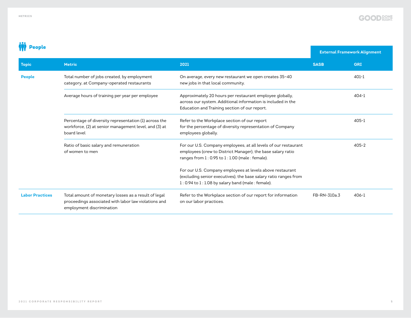

# **W** People

|              |                                            |                                                           | <b>External Framework Alignment</b> |              |  |
|--------------|--------------------------------------------|-----------------------------------------------------------|-------------------------------------|--------------|--|
| <b>Topic</b> | <b>Metric</b>                              | 2021                                                      | <b>SASB</b>                         | GRI          |  |
| Deonle       | Total number of jobs created by employment | On average every new restaurant we open creates $35 - 40$ |                                     | $\Delta$ 01- |  |

| <b>People</b>          | Total number of jobs created, by employment<br>category, at Company-operated restaurants                                                  | On average, every new restaurant we open creates 35-40<br>new jobs in that local community.                                                                                             |              | $401 - 1$ |
|------------------------|-------------------------------------------------------------------------------------------------------------------------------------------|-----------------------------------------------------------------------------------------------------------------------------------------------------------------------------------------|--------------|-----------|
|                        | Average hours of training per year per employee                                                                                           | Approximately 20 hours per restaurant employee globally,<br>across our system. Additional information is included in the<br>Education and Training section of our report.               |              | $404 - 1$ |
|                        | Percentage of diversity representation (1) across the<br>workforce, (2) at senior management level, and (3) at<br>board level             | Refer to the Workplace section of our report<br>for the percentage of diversity representation of Company<br>employees globally.                                                        |              | $405 - 1$ |
|                        | Ratio of basic salary and remuneration<br>of women to men                                                                                 | For our U.S. Company employees, at all levels of our restaurant<br>employees (crew to District Manager), the base salary ratio<br>ranges from 1 : 0.95 to 1 : 1.00 (male : female).     |              | $405 - 2$ |
|                        |                                                                                                                                           | For our U.S. Company employees at levels above restaurant<br>(excluding senior executives), the base salary ratio ranges from<br>$1: 0.94$ to $1: 1.08$ by salary band (male : female). |              |           |
| <b>Labor Practices</b> | Total amount of monetary losses as a result of legal<br>proceedings associated with labor law violations and<br>employment discrimination | Refer to the Workplace section of our report for information<br>on our labor practices.                                                                                                 | FB-RN-310a.3 | $406 - 1$ |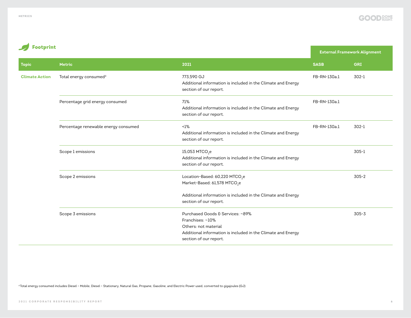Footprint



### **External Framework Alignment Topic Metric 2021 SASB GRI Climate Action** Total energy consumed<sup>4</sup> 773,590 GJ Additional information is included in the Climate and Energy section of our report. FB-RN-130a.1 302-1 Percentage grid energy consumed The Table 71% Additional information is included in the Climate and Energy section of our report. FB-RN-130a.1 Percentage renewable energy consumed <1% Additional information is included in the Climate and Energy section of our report. FB-RN-130a.1 302-1 Scope 1 emissions 15,053 MTCO<sub>2</sub>e Additional information is included in the Climate and Energy section of our report. 305-1 Scope 2 emissions  $\rm_{Leo}$ Market-Based: 61,578 MTCO $_2$ e Additional information is included in the Climate and Energy section of our report. 305-2 Scope 3 emissions Purchased Goods & Services: ~89% Franchises: ~10% Others: not material Additional information is included in the Climate and Energy section of our report. 305-3

4 Total energy consumed includes Diesel – Mobile, Diesel – Stationary, Natural Gas, Propane, Gasoline, and Electric Power used, converted to gigajoules (GJ)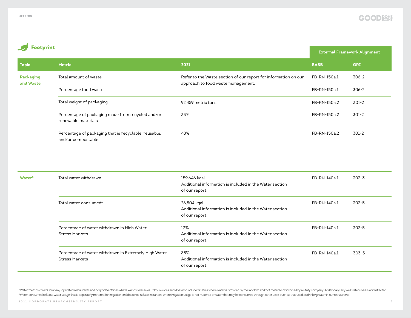### **External Framework Alignment Topic Metric 2021 SASB GRI Packaging and Waste** Total amount of waste  $\blacksquare$  Total amount of waste section of our report for information on our approach to food waste management. FB-RN-150a.1 306-2 Percentage food waste Total weight of packaging FB-RN-150a.1 306-2 Percentage of packaging made from recycled and/or renewable materials 33% 48% FB-RN-150a.2 301-2 Percentage of packaging that is recyclable, reusable, and/or compostable FB-RN-150a.2 301-2 Footprint 92,459 metric tons FB-RN-150a.2 301-2

| Water <sup>5</sup> | Total water withdrawn                                                          | 159,646 kgal<br>Additional information is included in the Water section<br>of our report. | FB-RN-140a.1 | 303-3 |
|--------------------|--------------------------------------------------------------------------------|-------------------------------------------------------------------------------------------|--------------|-------|
|                    | Total water consumed <sup>6</sup>                                              | 26,504 kgal<br>Additional information is included in the Water section<br>of our report.  | FB-RN-140a.1 | 303-5 |
|                    | Percentage of water withdrawn in High Water<br><b>Stress Markets</b>           | 13%<br>Additional information is included in the Water section<br>of our report.          | FB-RN-140a.1 | 303-5 |
|                    | Percentage of water withdrawn in Extremely High Water<br><b>Stress Markets</b> | 38%<br>Additional information is included in the Water section<br>of our report.          | FB-RN-140a.1 | 303-5 |

<sup>5</sup>Water metrics cover Company-operated restaurants and corporate offices where Wendy's receives utility invoices and does not include facilities where water is provided by the landlord and not metered or invoiced by a uti 6 Water consumed reflects water usage that is separately metered for irrigation and does not include instances where irrigation usage is not metered or water that may be consumed through other uses, such as that used as dr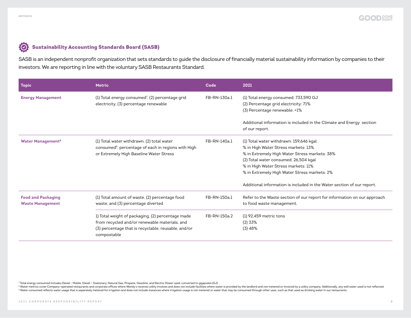#### $\odot$ Sustainability Accounting Standards Board (SASB)

SASB is an independent nonprofit organization that sets standards to guide the disclosure of financially material sustainability information by companies to their investors. We are reporting in line with the voluntary SASB Restaurants Standard.

| Topic                                                | <b>Metric</b>                                                                                                                                                            | Code         | 2021                                                                                                                                                                                                                                                                                                                                      |
|------------------------------------------------------|--------------------------------------------------------------------------------------------------------------------------------------------------------------------------|--------------|-------------------------------------------------------------------------------------------------------------------------------------------------------------------------------------------------------------------------------------------------------------------------------------------------------------------------------------------|
| <b>Energy Management</b>                             | (1) Total energy consumed <sup>7</sup> , (2) percentage grid<br>electricity, (3) percentage renewable                                                                    | FB-RN-130a.1 | (1) Total energy consumed: 733,590 GJ<br>(2) Percentage grid electricity: 71%<br>(3) Percentage renewable: <1%                                                                                                                                                                                                                            |
|                                                      |                                                                                                                                                                          |              | Additional information is included in the Climate and Energy section<br>of our report.                                                                                                                                                                                                                                                    |
| <b>Water Management<sup>8</sup></b>                  | (1) Total water withdrawn, (2) total water<br>consumed <sup>9</sup> , percentage of each in regions with High<br>or Extremely High Baseline Water Stress                 | FB-RN-140a.1 | (1) Total water withdrawn: 159,646 kgal<br>% in High Water Stress markets: 13%<br>% in Extremely High Water Stress markets: 38%<br>(2) Total water consumed: 26,504 kgal<br>% in High Water Stress markets: 11%<br>% in Extremely High Water Stress markets: 2%<br>Additional information is included in the Water section of our report. |
| <b>Food and Packaging</b><br><b>Waste Management</b> | (1) Total amount of waste, (2) percentage food<br>waste, and (3) percentage diverted                                                                                     | FB-RN-150a.1 | Refer to the Waste section of our report for information on our approach<br>to food waste management.                                                                                                                                                                                                                                     |
|                                                      | 1) Total weight of packaging, (2) percentage made<br>from recycled and/or renewable materials, and<br>(3) percentage that is recyclable, reusable, and/or<br>compostable | FB-RN-150a.2 | $(1)$ 92,459 metric tons<br>$(2)$ 33%<br>(3)48%                                                                                                                                                                                                                                                                                           |

7 Total energy consumed includes Diesel – Mobile, Diesel – Stationary, Natural Gas, Propane, Gasoline, and Electric Power used, converted to gigajoules (GJ)

<sup>8</sup> Water metrics cover Company-operated restaurants and corporate offices where Wendy's receives utility invoices and does not include facilities where water is provided by the landlord and not metered or invoiced by a ut <sup>9</sup> Water consumed reflects water usage that is separately metered for irrigation and does not include instances where irrigation usage is not metered or water that may be consumed through other uses, such as that used as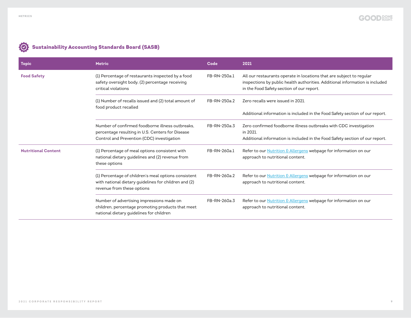| <b>Topic</b>               | <b>Metric</b>                                                                                                                               | Code         | 2021                                                                                                                                                                                              |
|----------------------------|---------------------------------------------------------------------------------------------------------------------------------------------|--------------|---------------------------------------------------------------------------------------------------------------------------------------------------------------------------------------------------|
| <b>Food Safety</b>         | (1) Percentage of restaurants inspected by a food<br>safety oversight body, (2) percentage receiving<br>critical violations                 | FB-RN-250a.1 | All our restaurants operate in locations that are subject to regular<br>inspections by public health authorities. Additional information is included<br>in the Food Safety section of our report. |
|                            | (1) Number of recalls issued and (2) total amount of<br>food product recalled                                                               | FB-RN-250a.2 | Zero recalls were issued in 2021.                                                                                                                                                                 |
|                            |                                                                                                                                             |              | Additional information is included in the Food Safety section of our report.                                                                                                                      |
|                            | Number of confirmed foodborne illness outbreaks.<br>percentage resulting in U.S. Centers for Disease                                        | FB-RN-250a.3 | Zero confirmed foodborne illness outbreaks with CDC investigation<br>in 2021.                                                                                                                     |
|                            | Control and Prevention (CDC) investigation                                                                                                  |              | Additional information is included in the Food Safety section of our report.                                                                                                                      |
| <b>Nutritional Content</b> | (1) Percentage of meal options consistent with<br>national dietary guidelines and (2) revenue from<br>these options                         | FB-RN-260a.1 | Refer to our <b>Nutrition &amp; Allergens</b> webpage for information on our<br>approach to nutritional content.                                                                                  |
|                            | (1) Percentage of children's meal options consistent<br>with national dietary guidelines for children and (2)<br>revenue from these options | FB-RN-260a.2 | Refer to our <b>Nutrition &amp; Allergens</b> webpage for information on our<br>approach to nutritional content.                                                                                  |
|                            | Number of advertising impressions made on<br>children, percentage promoting products that meet<br>national dietary quidelines for children  | FB-RN-260a.3 | Refer to our <b>Nutrition &amp; Allergens</b> webpage for information on our<br>approach to nutritional content.                                                                                  |

# Sustainability Accounting Standards Board (SASB)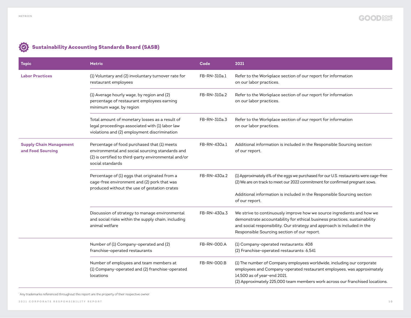| <b>Topic</b>                                        | <b>Metric</b>                                                                                                                                                              | Code         | 2021                                                                                                                                                                                                                                                                          |
|-----------------------------------------------------|----------------------------------------------------------------------------------------------------------------------------------------------------------------------------|--------------|-------------------------------------------------------------------------------------------------------------------------------------------------------------------------------------------------------------------------------------------------------------------------------|
| <b>Labor Practices</b>                              | (1) Voluntary and (2) involuntary turnover rate for<br>restaurant employees                                                                                                | FB-RN-310a.1 | Refer to the Workplace section of our report for information<br>on our labor practices.                                                                                                                                                                                       |
|                                                     | (1) Average hourly wage, by region and (2)<br>percentage of restaurant employees earning<br>minimum wage, by region                                                        | FB-RN-310a.2 | Refer to the Workplace section of our report for information<br>on our labor practices.                                                                                                                                                                                       |
|                                                     | Total amount of monetary losses as a result of<br>legal proceedings associated with (1) labor law<br>violations and (2) employment discrimination                          | FB-RN-310a.3 | Refer to the Workplace section of our report for information<br>on our labor practices.                                                                                                                                                                                       |
| <b>Supply Chain Management</b><br>and Food Sourcing | Percentage of food purchased that (1) meets<br>environmental and social sourcing standards and<br>(2) is certified to third-party environmental and/or<br>social standards | FB-RN-430a.1 | Additional information is included in the Responsible Sourcing section<br>of our report.                                                                                                                                                                                      |
|                                                     | Percentage of (1) eggs that originated from a<br>cage-free environment and (2) pork that was<br>produced without the use of gestation crates                               | FB-RN-430a.2 | (1) Approximately 6% of the eggs we purchased for our U.S. restaurants were cage-free<br>(2) We are on track to meet our 2022 commitment for confirmed pregnant sows.<br>Additional information is included in the Responsible Sourcing section                               |
|                                                     |                                                                                                                                                                            |              | of our report.                                                                                                                                                                                                                                                                |
|                                                     | Discussion of strategy to manage environmental<br>and social risks within the supply chain, including<br>animal welfare                                                    | FB-RN-430a.3 | We strive to continuously improve how we source ingredients and how we<br>demonstrate accountability for ethical business practices, sustainability<br>and social responsibility. Our strategy and approach is included in the<br>Responsible Sourcing section of our report. |
|                                                     | Number of (1) Company-operated and (2)<br>franchise-operated restaurants                                                                                                   | FB-RN-000.A  | (1) Company-operated restaurants: 408<br>(2) Franchise-operated restaurants: 6,541                                                                                                                                                                                            |
|                                                     | Number of employees and team members at<br>(1) Company-operated and (2) franchise-operated<br>locations                                                                    | FB-RN-000.B  | (1) The number of Company employees worldwide, including our corporate<br>employees and Company-operated restaurant employees, was approximately<br>14,500 as of year-end 2021.<br>(2) Approximately 225,000 team members work across our franchised locations.               |

## Sustainability Accounting Standards Board (SASB)

\* Any trademarks referenced throughout this report are the property of their respective owner.